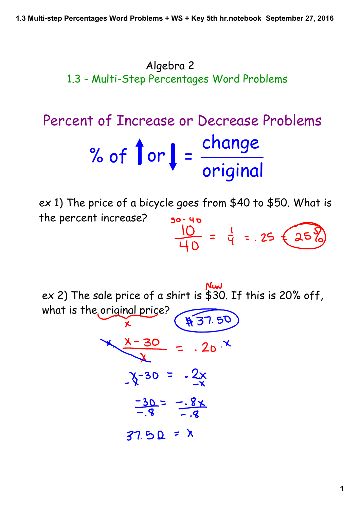Algebra 2 1.3 - Multi-Step Percentages Word Problems

# Percent of Increase or Decrease Problems change % of  $\int$  or  $\int$  =  $\frac{3\pi}{\pi}$  original

ex 1) The price of a bicycle goes from \$40 to \$50. What is the percent increase?  $50 - 40$  $\frac{10}{40} = \frac{1}{9} = .25 \pm 25$ 

ex 2) The sale price of a shirt is \$30. If this is 20% off, what is the original price? \$37.50

$$
\frac{x-30}{2} = .20^{x}
$$
  
-
$$
\frac{x-30}{2} = .2x
$$
  

$$
\frac{-30}{-8} = -.8x
$$
  

$$
\frac{-30}{-8} = -.8x
$$
  

$$
\frac{-30}{-8} = x
$$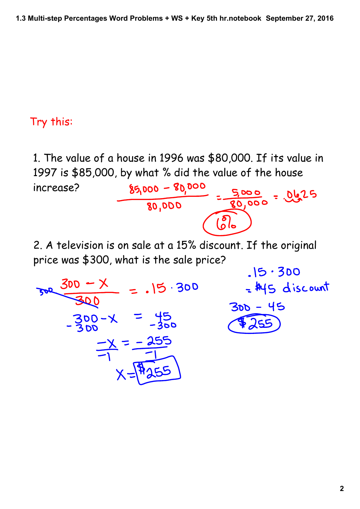# Try this:

1. The value of a house in 1996 was \$80,000. If its value in 1997 is \$85,000, by what % did the value of the house<br>increase?<br> $\frac{$5,000 - $0,000}{80,000} = \frac{5,000}{80,000} = 0.0625$ increase? 2. A television is on sale at a 15% discount. If the original price was \$300, what is the sale price?  $.15.300$  $\frac{300-x}{300-x} = .15.300$ <br>-300-X = 45<br>-300 - X = -300 = \$45 discount  $300 - 45$  $525$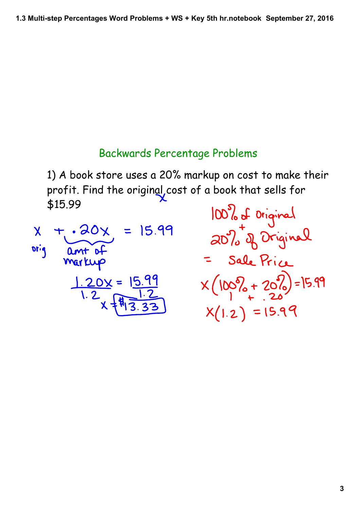### Backwards Percentage Problems

1) A book store uses a 20% markup on cost to make their profit. Find the original, cost of a book that sells for \$15.99



100% of Original Sale Price  $X(100\% + 20\%) = 15.99$  $X(1.2) = 15.99$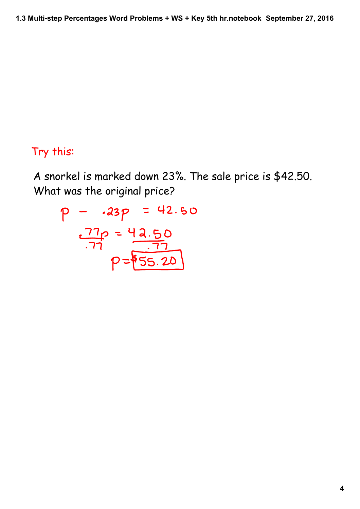# Try this:

A snorkel is marked down 23%. The sale price is \$42.50. What was the original price?

$$
p - .23p = 42.50
$$
  

$$
\frac{.77p}{.77} = \frac{42.50}{.77}
$$
  

$$
p = 55.20
$$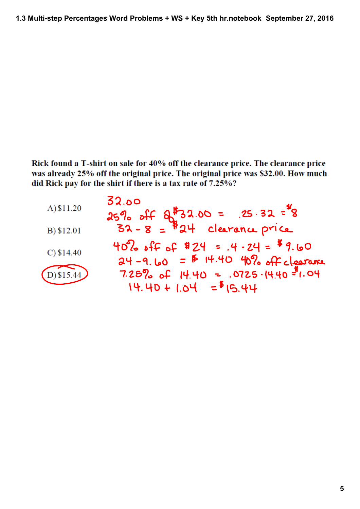Rick found a T-shirt on sale for 40% off the clearance price. The clearance price was already 25% off the original price. The original price was \$32.00. How much did Rick pay for the shirt if there is a tax rate of 7.25%?

| A) \$11.20    | 32.00<br>$25\%$ off $8\frac{15}{32.00}$ = .25.32 = $\frac{4}{8}$<br>32-8 = $\frac{14}{8}$ 24 clearance price |
|---------------|--------------------------------------------------------------------------------------------------------------|
| B) \$12.01    |                                                                                                              |
| $C$ ) \$14.40 | $40\%$ off of \$24 = $.4.24 =$ \$9.60<br>$24 - 9.60 = 6$ 14.40 40% off clearance                             |
| D) \$15.44    | $7.25\%$ of 14.40 = .0725.14.40 = 1.04<br>$14.40 + 1.04 = 615.44$                                            |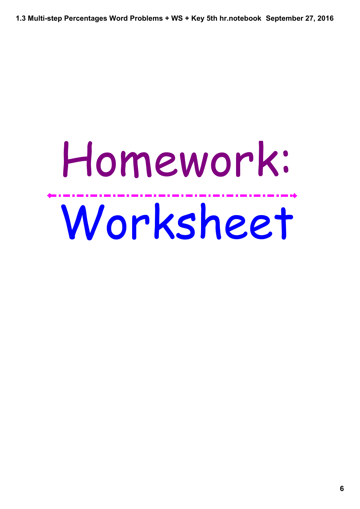**1.3 Multistep Percentages Word Problems + WS + Key 5th hr.notebook September 27, 2016**

# Homework: Worksheet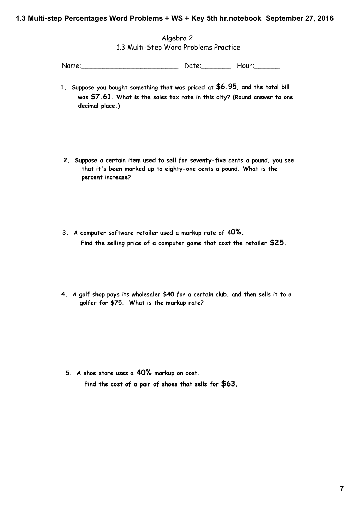### **1.3 Multistep Percentages Word Problems + WS + Key 5th hr.notebook September 27, 2016**

Algebra 2 1.3 Multi-Step Word Problems Practice

Name: Name: Name: Name: Name: Name: Name: Name: Name: Name: Name: Name: Name: Name: Name: Name: Name: Name: Name: Name: Name: Name: Name: Name: Name: Name: Name: Name: Name: Name: Name: Name: Name: Name: Name: Name: Name:

- **1. Suppose you bought something that was priced at \$6.95, and the total bill was \$7.61. What is the sales tax rate in this city? (Round answer to one decimal place.)**
- **2. Suppose a certain item used to sell for seventy-five cents a pound, you see that it's been marked up to eighty-one cents a pound. What is the percent increase?**
- **3. A computer software retailer used a markup rate of 40%. Find the selling price of a computer game that cost the retailer \$25.**
- **4. A golf shop pays its wholesaler \$40 for a certain club, and then sells it to a golfer for \$75. What is the markup rate?**

**5. A shoe store uses a 40% markup on cost. Find the cost of a pair of shoes that sells for \$63.**